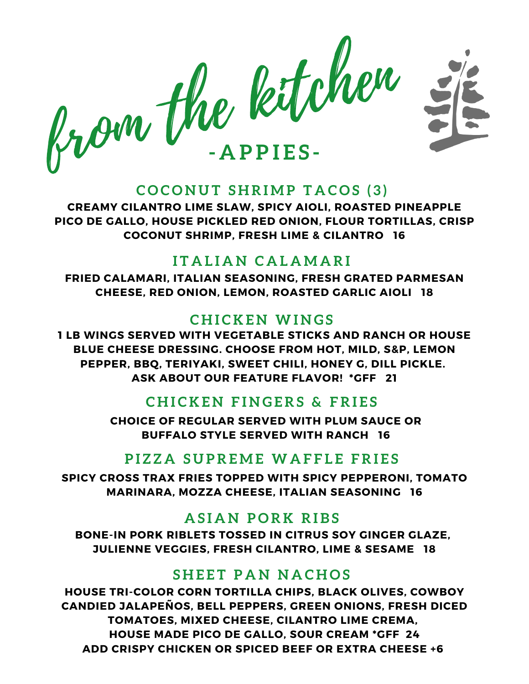

#### $COCONUT$  SHRIMP TACOS (3)

**CREAMY CILANTRO LIME SLAW, SPICY AIOLI, ROASTED PINEAPPLE PICO DE GALLO, HOUSE PICKLED RED ONION, FLOUR TORTILLAS, CRISP COCONUT SHRIMP, FRESH LIME & CILANTRO 16**

## **I T A L I A N C A L A M A R I**

**FRIED CALAMARI, ITALIAN SEASONING, FRESH GRATED PARMESAN CHEESE, RED ONION, LEMON, ROASTED GARLIC AIOLI 18**

# **C H I C K E N WI N G S**

**1 LB WINGS SERVED WITH VEGETABLE STICKS AND RANCH OR HOUSE BLUE CHEESE DRESSING. CHOOSE FROM HOT, MILD, S&P, LEMON PEPPER, BBQ, TERIYAKI, SWEET CHILI, HONEY G, DILL PICKLE. ASK ABOUT OUR FEATURE FLAVOR! \*GFF 21**

# $CHICKEN$  **FINGERS & FRIES**

**CHOICE OF REGULAR SERVED WITH PLUM SAUCE OR BUFFALO STYLE SERVED WITH RANCH 16**

# **P I Z Z A S U P R E M E WA F F L E F R I E S**

**SPICY CROSS TRAX FRIES TOPPED WITH SPICY PEPPERONI, TOMATO MARINARA, MOZZA CHEESE, ITALIAN SEASONING 16**

# **A S I A N P O R K R I B S**

**BONE-IN PORK RIBLETS TOSSED IN CITRUS SOY GINGER GLAZE, JULIENNE VEGGIES, FRESH CILANTRO, LIME & SESAME 18**

#### **S H E E T P A N N A C H O S**

**HOUSE TRI-COLOR CORN TORTILLA CHIPS, BLACK OLIVES, COWBOY CANDIED JALAPEÑOS, BELL PEPPERS, GREEN ONIONS, FRESH DICED TOMATOES, MIXED CHEESE, CILANTRO LIME CREMA, HOUSE MADE PICO DE GALLO, SOUR CREAM \*GFF 24 ADD CRISPY CHICKEN OR SPICED BEEF OR EXTRA CHEESE +6**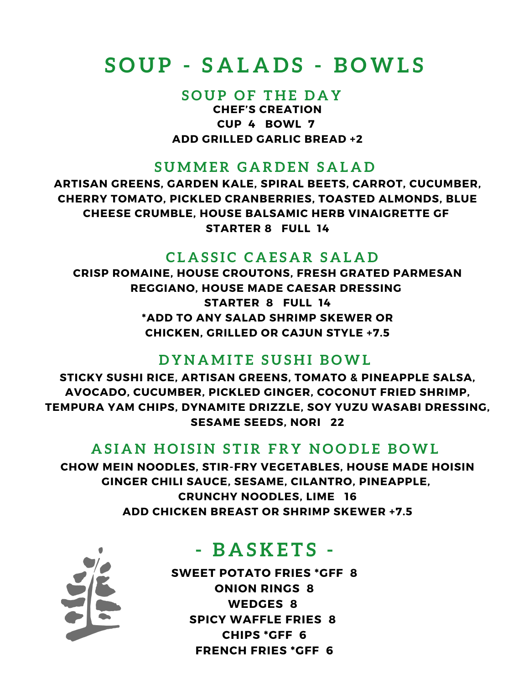# **S O U P - S A L A D S - B OWL S**

#### **S O U P O F T H E D A Y**

**CHEF'S CREATION CUP 4 BOWL 7 ADD GRILLED GARLIC BREAD +2**

#### **S U M M E R G A R D E N S A L A D**

**ARTISAN GREENS, GARDEN KALE, SPIRAL BEETS, CARROT, CUCUMBER, CHERRY TOMATO, PICKLED CRANBERRIES, TOASTED ALMONDS, BLUE CHEESE CRUMBLE, HOUSE BALSAMIC HERB VINAIGRETTE GF STARTER 8 FULL 14**

#### **C L A S S I C C A E S A R S A L A D**

**CRISP ROMAINE, HOUSE CROUTONS, FRESH GRATED PARMESAN REGGIANO, HOUSE MADE CAESAR DRESSING STARTER 8 FULL 14 \*ADD TO ANY SALAD SHRIMP SKEWER OR CHICKEN, GRILLED OR CAJUN STYLE +7.5**

#### **D Y N A M I T E S U S H I B OWL**

**STICKY SUSHI RICE, ARTISAN GREENS, TOMATO & PINEAPPLE SALSA, AVOCADO, CUCUMBER, PICKLED GINGER, COCONUT FRIED SHRIMP, TEMPURA YAM CHIPS, DYNAMITE DRIZZLE, SOY YUZU WASABI DRESSING, SESAME SEEDS, NORI 22**

#### ASIAN HOISIN STIR FRY NOODLE BOWL

**CHOW MEIN NOODLES, STIR-FRY VEGETABLES, HOUSE MADE HOISIN GINGER CHILI SAUCE, SESAME, CILANTRO, PINEAPPLE, CRUNCHY NOODLES, LIME 16 ADD CHICKEN BREAST OR SHRIMP SKEWER +7.5**



# **- B A S K E T S -**

**SWEET POTATO FRIES \*GFF 8 ONION RINGS 8 WEDGES 8 SPICY WAFFLE FRIES 8 CHIPS \*GFF 6 FRENCH FRIES \*GFF 6**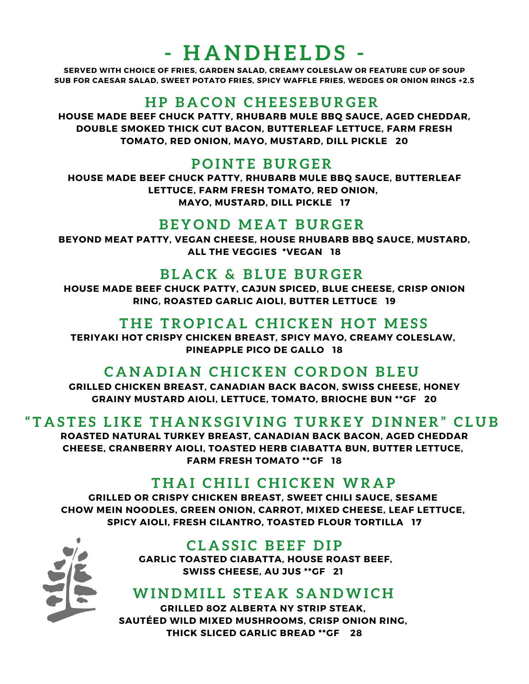# **- H A N D H E L D S -**

**SERVED WITH CHOICE OF FRIES, GARDEN SALAD, CREAMY COLESLAW OR FEATURE CUP OF SOUP SUB FOR CAESAR SALAD, SWEET POTATO FRIES, SPICY WAFFLE FRIES, WEDGES OR ONION RINGS +2.5**

## **H P B A C O N C H E E S E B U R G E R**

**HOUSE MADE BEEF CHUCK PATTY, RHUBARB MULE BBQ SAUCE, AGED CHEDDAR, DOUBLE SMOKED THICK CUT BACON, BUTTERLEAF LETTUCE, FARM FRESH TOMATO, RED ONION, MAYO, MUSTARD, DILL PICKLE 20**

#### **P O I N T E B U R G E R**

**HOUSE MADE BEEF CHUCK PATTY, RHUBARB MULE BBQ SAUCE, BUTTERLEAF LETTUCE, FARM FRESH TOMATO, RED ONION, MAYO, MUSTARD, DILL PICKLE 17**

#### **B E Y O N D M E A T B U R G E R**

**BEYOND MEAT PATTY, VEGAN CHEESE, HOUSE RHUBARB BBQ SAUCE, MUSTARD, ALL THE VEGGIES \*VEGAN 18**

#### **B L A C K & B L U E B U R G E R**

**HOUSE MADE BEEF CHUCK PATTY, CAJUN SPICED, BLUE CHEESE, CRISP ONION RING, ROASTED GARLIC AIOLI, BUTTER LETTUCE 19**

#### **T H E T R O P I C A L C H I C K E N H O T M E S S**

**TERIYAKI HOT CRISPY CHICKEN BREAST, SPICY MAYO, CREAMY COLESLAW, PINEAPPLE PICO DE GALLO 18**

#### $C$ **A N A** DIAN CHICKEN CORDON BLEU

**GRILLED CHICKEN BREAST, CANADIAN BACK BACON, SWISS CHEESE, HONEY GRAINY MUSTARD AIOLI, LETTUCE, TOMATO, BRIOCHE BUN \*\*GF 20**

#### "TASTES LIKE THANKSGIVING TURKEY DINNER" CLUB

**ROASTED NATURAL TURKEY BREAST, CANADIAN BACK BACON, AGED CHEDDAR CHEESE, CRANBERRY AIOLI, TOASTED HERB CIABATTA BUN, BUTTER LETTUCE, FARM FRESH TOMATO \*\*GF 18**

#### **T H A I C H I L I C H I C K E N WR A P**

**GRILLED OR CRISPY CHICKEN BREAST, SWEET CHILI SAUCE, SESAME CHOW MEIN NOODLES, GREEN ONION, CARROT, MIXED CHEESE, LEAF LETTUCE, SPICY AIOLI, FRESH CILANTRO, TOASTED FLOUR TORTILLA 17**



#### $CLASSIC BEEF DIP$

**GARLIC TOASTED CIABATTA, HOUSE ROAST BEEF, SWISS CHEESE, AU JUS \*\*GF 21**

#### **WI N D M I L L S T E A K S A N DWI C H**

**GRILLED 8OZ ALBERTA NY STRIP STEAK, SAUTÉED WILD MIXED MUSHROOMS, CRISP ONION RING, THICK SLICED GARLIC BREAD \*\*GF 28**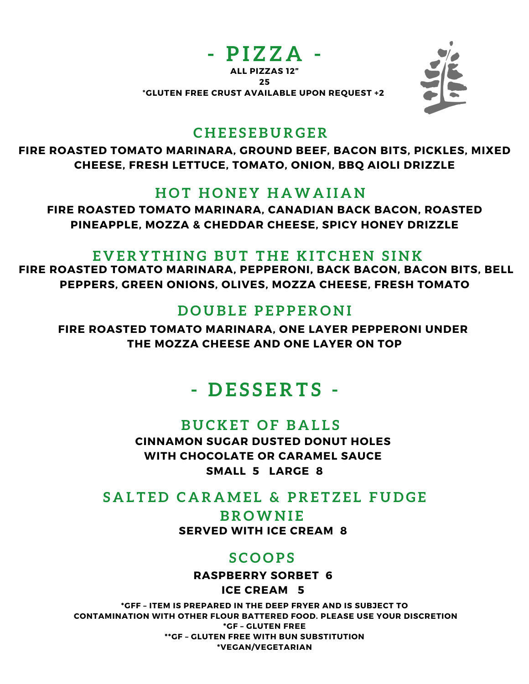



#### **C H E E S E B U R G E R**

**FIRE ROASTED TOMATO MARINARA, GROUND BEEF, BACON BITS, PICKLES, MIXED CHEESE, FRESH LETTUCE, TOMATO, ONION, BBQ AIOLI DRIZZLE**

#### **H O T H O N E Y H AWA I I A N**

**FIRE ROASTED TOMATO MARINARA, CANADIAN BACK BACON, ROASTED PINEAPPLE, MOZZA & CHEDDAR CHEESE, SPICY HONEY DRIZZLE**

#### EVERYTHING BUT THE KITCHEN SINK

**FIRE ROASTED TOMATO MARINARA, PEPPERONI, BACK BACON, BACON BITS, BELL PEPPERS, GREEN ONIONS, OLIVES, MOZZA CHEESE, FRESH TOMATO**

# **D O U B L E P E P P E R O N I**

**FIRE ROASTED TOMATO MARINARA, ONE LAYER PEPPERONI UNDER THE MOZZA CHEESE AND ONE LAYER ON TOP**

# **- D E S S E R T S -**

#### **B U C K E T O F B A L L S**

**CINNAMON SUGAR DUSTED DONUT HOLES WITH CHOCOLATE OR CARAMEL SAUCE SMALL 5 LARGE 8**

# SALTED CARAMEL & PRETZEL FUDGE

**SERVED WITH ICE CREAM 8 B R OWN I E**

#### **S C O O P S**

**RASPBERRY SORBET 6**

**ICE CREAM 5**

**\*GFF – ITEM IS PREPARED IN THE DEEP FRYER AND IS SUBJECT TO CONTAMINATION WITH OTHER FLOUR BATTERED FOOD. PLEASE USE YOUR DISCRETION \*GF – GLUTEN FREE \*\*GF – GLUTEN FREE WITH BUN SUBSTITUTION \*VEGAN/VEGETARIAN**